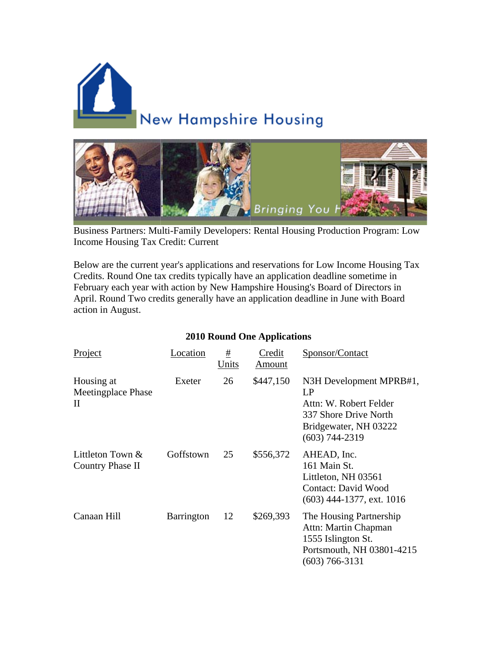



Business Partners: Multi-Family Developers: Rental Housing Production Program: Low Income Housing Tax Credit: Current

Below are the current year's applications and reservations for Low Income Housing Tax Credits. Round One tax credits typically have an application deadline sometime in February each year with action by New Hampshire Housing's Board of Directors in April. Round Two credits generally have an application deadline in June with Board action in August.

## **2010 Round One Applications**

| Project                                          | Location   | #<br>Units | Credit<br>Amount | Sponsor/Contact                                                                                                               |
|--------------------------------------------------|------------|------------|------------------|-------------------------------------------------------------------------------------------------------------------------------|
| Housing at<br>Meetingplace Phase<br>$\mathbf{I}$ | Exeter     | 26         | \$447,150        | N3H Development MPRB#1,<br>LP<br>Attn: W. Robert Felder<br>337 Shore Drive North<br>Bridgewater, NH 03222<br>$(603)$ 744-2319 |
| Littleton Town $\&$<br>Country Phase II          | Goffstown  | 25         | \$556,372        | AHEAD, Inc.<br>161 Main St.<br>Littleton, NH 03561<br><b>Contact: David Wood</b><br>$(603)$ 444-1377, ext. 1016               |
| Canaan Hill                                      | Barrington | 12         | \$269,393        | The Housing Partnership<br>Attn: Martin Chapman<br>1555 Islington St.<br>Portsmouth, NH 03801-4215<br>$(603)$ 766-3131        |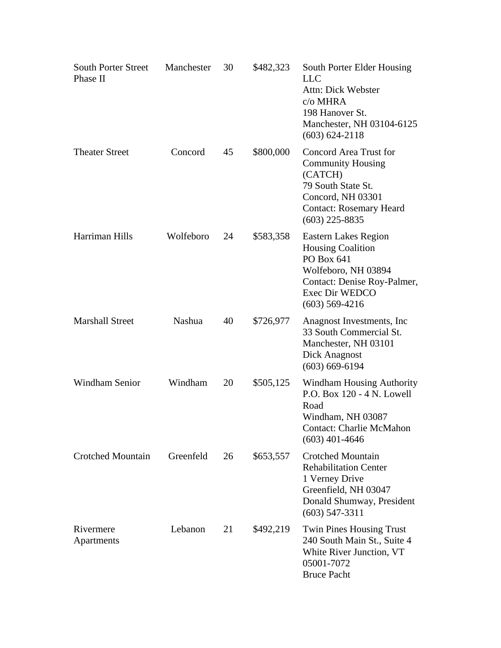| <b>South Porter Street</b><br>Phase II | Manchester | 30 | \$482,323 | South Porter Elder Housing<br><b>LLC</b><br>Attn: Dick Webster<br>c/o MHRA<br>198 Hanover St.<br>Manchester, NH 03104-6125<br>$(603) 624 - 2118$                      |
|----------------------------------------|------------|----|-----------|-----------------------------------------------------------------------------------------------------------------------------------------------------------------------|
| <b>Theater Street</b>                  | Concord    | 45 | \$800,000 | <b>Concord Area Trust for</b><br><b>Community Housing</b><br>(CATCH)<br>79 South State St.<br>Concord, NH 03301<br><b>Contact: Rosemary Heard</b><br>$(603)$ 225-8835 |
| Harriman Hills                         | Wolfeboro  | 24 | \$583,358 | <b>Eastern Lakes Region</b><br><b>Housing Coalition</b><br>PO Box 641<br>Wolfeboro, NH 03894<br>Contact: Denise Roy-Palmer,<br>Exec Dir WEDCO<br>$(603)$ 569-4216     |
| <b>Marshall Street</b>                 | Nashua     | 40 | \$726,977 | Anagnost Investments, Inc.<br>33 South Commercial St.<br>Manchester, NH 03101<br>Dick Anagnost<br>$(603) 669 - 6194$                                                  |
| Windham Senior                         | Windham    | 20 | \$505,125 | <b>Windham Housing Authority</b><br>P.O. Box 120 - 4 N. Lowell<br>Road<br>Windham, NH 03087<br><b>Contact: Charlie McMahon</b><br>$(603)$ 401-4646                    |
| <b>Crotched Mountain</b>               | Greenfeld  | 26 | \$653,557 | <b>Crotched Mountain</b><br><b>Rehabilitation Center</b><br>1 Verney Drive<br>Greenfield, NH 03047<br>Donald Shumway, President<br>$(603)$ 547-3311                   |
| Rivermere<br>Apartments                | Lebanon    | 21 | \$492,219 | <b>Twin Pines Housing Trust</b><br>240 South Main St., Suite 4<br>White River Junction, VT<br>05001-7072<br><b>Bruce Pacht</b>                                        |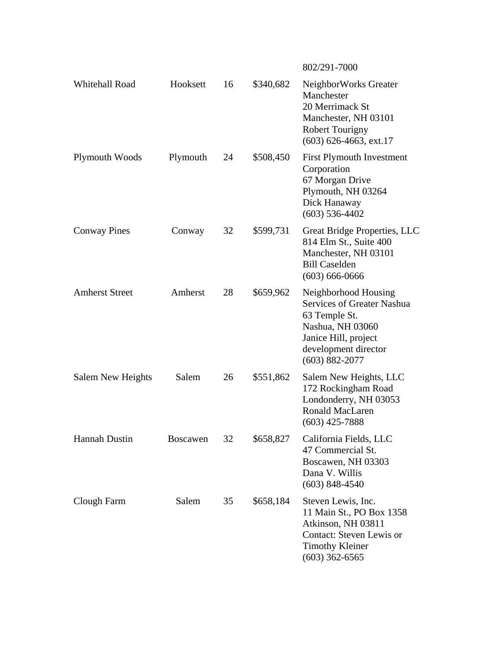|                       |                 |    |           | 802/291-7000                                                                                                                                                         |
|-----------------------|-----------------|----|-----------|----------------------------------------------------------------------------------------------------------------------------------------------------------------------|
| Whitehall Road        | Hooksett        | 16 | \$340,682 | NeighborWorks Greater<br>Manchester<br>20 Merrimack St<br>Manchester, NH 03101<br><b>Robert Tourigny</b><br>$(603)$ 626-4663, ext.17                                 |
| Plymouth Woods        | Plymouth        | 24 | \$508,450 | <b>First Plymouth Investment</b><br>Corporation<br>67 Morgan Drive<br>Plymouth, NH 03264<br>Dick Hanaway<br>$(603)$ 536-4402                                         |
| <b>Conway Pines</b>   | Conway          | 32 | \$599,731 | Great Bridge Properties, LLC<br>814 Elm St., Suite 400<br>Manchester, NH 03101<br><b>Bill Caselden</b><br>$(603) 666 - 0666$                                         |
| <b>Amherst Street</b> | Amherst         | 28 | \$659,962 | Neighborhood Housing<br><b>Services of Greater Nashua</b><br>63 Temple St.<br>Nashua, NH 03060<br>Janice Hill, project<br>development director<br>$(603) 882 - 2077$ |
| Salem New Heights     | Salem           | 26 | \$551,862 | Salem New Heights, LLC<br>172 Rockingham Road<br>Londonderry, NH 03053<br><b>Ronald MacLaren</b><br>$(603)$ 425-7888                                                 |
| Hannah Dustin         | <b>Boscawen</b> | 32 | \$658,827 | California Fields, LLC<br>47 Commercial St.<br>Boscawen, NH 03303<br>Dana V. Willis<br>$(603)$ 848-4540                                                              |
| Clough Farm           | Salem           | 35 | \$658,184 | Steven Lewis, Inc.<br>11 Main St., PO Box 1358<br>Atkinson, NH 03811<br><b>Contact: Steven Lewis or</b><br><b>Timothy Kleiner</b><br>$(603)$ 362-6565                |